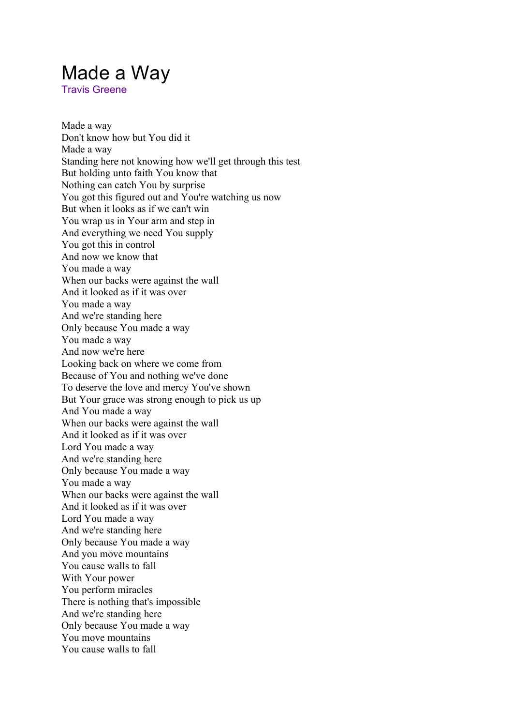## Made a Way

Travis Greene

Made a way Don't know how but You did it Made a way Standing here not knowing how we'll get through this test But holding unto faith You know that Nothing can catch You by surprise You got this figured out and You're watching us now But when it looks as if we can't win You wrap us in Your arm and step in And everything we need You supply You got this in control And now we know that You made a way When our backs were against the wall And it looked as if it was over You made a way And we're standing here Only because You made a way You made a way And now we're here Looking back on where we come from Because of You and nothing we've done To deserve the love and mercy You've shown But Your grace was strong enough to pick us up And You made a way When our backs were against the wall And it looked as if it was over Lord You made a way And we're standing here Only because You made a way You made a way When our backs were against the wall And it looked as if it was over Lord You made a way And we're standing here Only because You made a way And you move mountains You cause walls to fall With Your power You perform miracles There is nothing that's impossible And we're standing here Only because You made a way You move mountains You cause walls to fall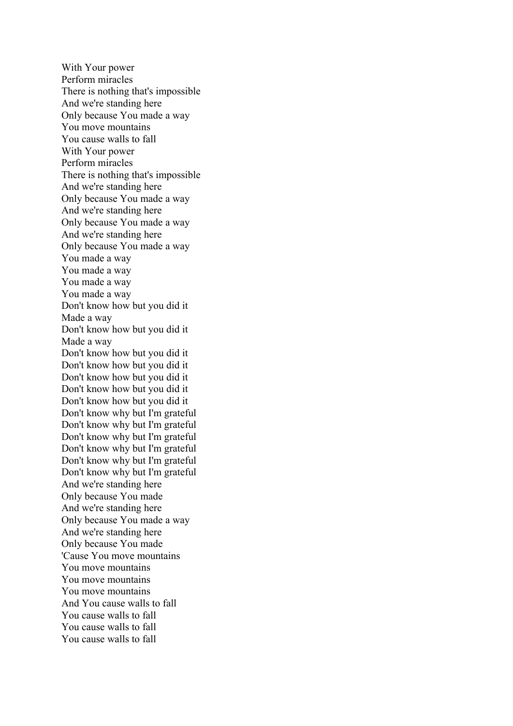With Your power Perform miracles There is nothing that's impossible And we're standing here Only because You made a way You move mountains You cause walls to fall With Your power Perform miracles There is nothing that's impossible And we're standing here Only because You made a way And we're standing here Only because You made a way And we're standing here Only because You made a way You made a way You made a way You made a way You made a way Don't know how but you did it Made a way Don't know how but you did it Made a way Don't know how but you did it Don't know how but you did it Don't know how but you did it Don't know how but you did it Don't know how but you did it Don't know why but I'm grateful Don't know why but I'm grateful Don't know why but I'm grateful Don't know why but I'm grateful Don't know why but I'm grateful Don't know why but I'm grateful And we're standing here Only because You made And we're standing here Only because You made a way And we're standing here Only because You made 'Cause You move mountains You move mountains You move mountains You move mountains And You cause walls to fall You cause walls to fall You cause walls to fall You cause walls to fall